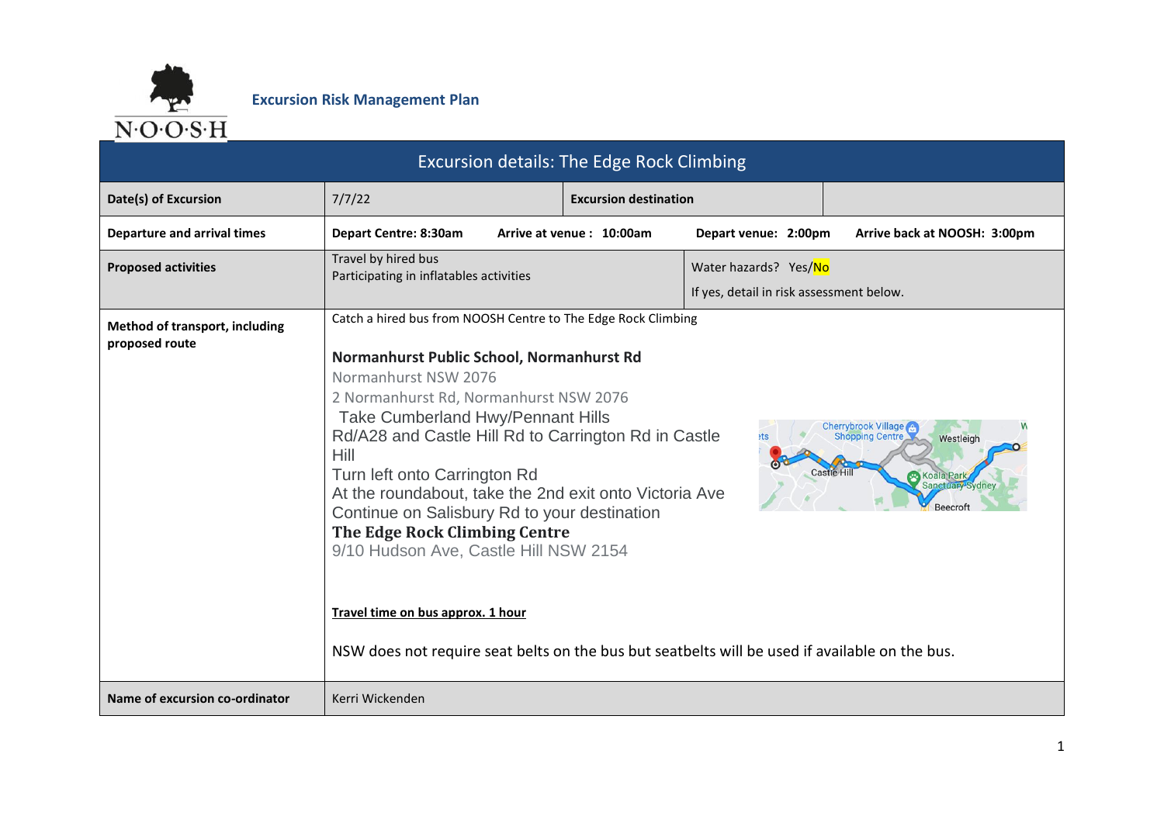

|                                                  | <b>Excursion details: The Edge Rock Climbing</b>                                                                                                                                                                                                                                                                                                                                                                                                                                                                                                                                                                                             |                              |                                                                   |                                                                                                                    |
|--------------------------------------------------|----------------------------------------------------------------------------------------------------------------------------------------------------------------------------------------------------------------------------------------------------------------------------------------------------------------------------------------------------------------------------------------------------------------------------------------------------------------------------------------------------------------------------------------------------------------------------------------------------------------------------------------------|------------------------------|-------------------------------------------------------------------|--------------------------------------------------------------------------------------------------------------------|
| Date(s) of Excursion                             | 7/7/22                                                                                                                                                                                                                                                                                                                                                                                                                                                                                                                                                                                                                                       | <b>Excursion destination</b> |                                                                   |                                                                                                                    |
| <b>Departure and arrival times</b>               | Depart Centre: 8:30am                                                                                                                                                                                                                                                                                                                                                                                                                                                                                                                                                                                                                        | Arrive at venue: 10:00am     | Depart venue: 2:00pm                                              | Arrive back at NOOSH: 3:00pm                                                                                       |
| <b>Proposed activities</b>                       | Travel by hired bus<br>Participating in inflatables activities                                                                                                                                                                                                                                                                                                                                                                                                                                                                                                                                                                               |                              | Water hazards? Yes/No<br>If yes, detail in risk assessment below. |                                                                                                                    |
| Method of transport, including<br>proposed route | Catch a hired bus from NOOSH Centre to The Edge Rock Climbing<br>Normanhurst Public School, Normanhurst Rd<br>Normanhurst NSW 2076<br>2 Normanhurst Rd, Normanhurst NSW 2076<br>Take Cumberland Hwy/Pennant Hills<br>Rd/A28 and Castle Hill Rd to Carrington Rd in Castle<br>Hill<br>Turn left onto Carrington Rd<br>At the roundabout, take the 2nd exit onto Victoria Ave<br>Continue on Salisbury Rd to your destination<br>The Edge Rock Climbing Centre<br>9/10 Hudson Ave, Castle Hill NSW 2154<br>Travel time on bus approx. 1 hour<br>NSW does not require seat belts on the bus but seatbelts will be used if available on the bus. |                              |                                                                   | <b>Cherrybrook Village Co.</b><br>Shopping Centre<br>Westleigh<br><b>Koala Park</b><br>Sanctuary Sydney<br>Beecrof |
| Name of excursion co-ordinator                   | Kerri Wickenden                                                                                                                                                                                                                                                                                                                                                                                                                                                                                                                                                                                                                              |                              |                                                                   |                                                                                                                    |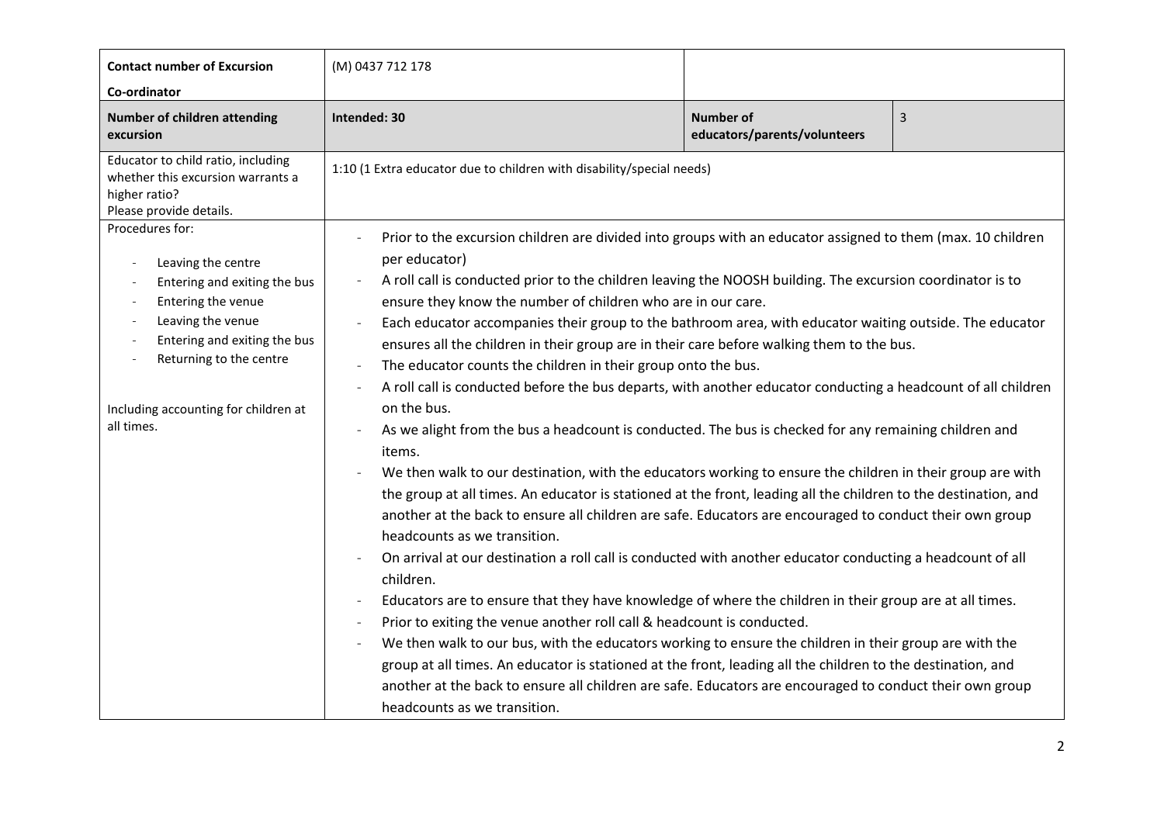| <b>Contact number of Excursion</b><br>Co-ordinator                                                                                                                                                                                | (M) 0437 712 178                                                                                                                                                                                                                                                                                                                                                                                                                                                                                                                                                                                                                                                                                                                                                                                                                                                                                                                                                                                                                                                                                                                                                                                                                                                                                                                                                                                                                                                                                                                                                                                                                                                                                                                                                                                                                                                                                         |                |  |
|-----------------------------------------------------------------------------------------------------------------------------------------------------------------------------------------------------------------------------------|----------------------------------------------------------------------------------------------------------------------------------------------------------------------------------------------------------------------------------------------------------------------------------------------------------------------------------------------------------------------------------------------------------------------------------------------------------------------------------------------------------------------------------------------------------------------------------------------------------------------------------------------------------------------------------------------------------------------------------------------------------------------------------------------------------------------------------------------------------------------------------------------------------------------------------------------------------------------------------------------------------------------------------------------------------------------------------------------------------------------------------------------------------------------------------------------------------------------------------------------------------------------------------------------------------------------------------------------------------------------------------------------------------------------------------------------------------------------------------------------------------------------------------------------------------------------------------------------------------------------------------------------------------------------------------------------------------------------------------------------------------------------------------------------------------------------------------------------------------------------------------------------------------|----------------|--|
| Number of children attending<br>excursion                                                                                                                                                                                         | Intended: 30                                                                                                                                                                                                                                                                                                                                                                                                                                                                                                                                                                                                                                                                                                                                                                                                                                                                                                                                                                                                                                                                                                                                                                                                                                                                                                                                                                                                                                                                                                                                                                                                                                                                                                                                                                                                                                                                                             | $\overline{3}$ |  |
| Educator to child ratio, including<br>whether this excursion warrants a<br>higher ratio?<br>Please provide details.                                                                                                               | 1:10 (1 Extra educator due to children with disability/special needs)                                                                                                                                                                                                                                                                                                                                                                                                                                                                                                                                                                                                                                                                                                                                                                                                                                                                                                                                                                                                                                                                                                                                                                                                                                                                                                                                                                                                                                                                                                                                                                                                                                                                                                                                                                                                                                    |                |  |
| Procedures for:<br>Leaving the centre<br>Entering and exiting the bus<br>Entering the venue<br>Leaving the venue<br>Entering and exiting the bus<br>Returning to the centre<br>Including accounting for children at<br>all times. | Prior to the excursion children are divided into groups with an educator assigned to them (max. 10 children<br>per educator)<br>A roll call is conducted prior to the children leaving the NOOSH building. The excursion coordinator is to<br>ensure they know the number of children who are in our care.<br>Each educator accompanies their group to the bathroom area, with educator waiting outside. The educator<br>ensures all the children in their group are in their care before walking them to the bus.<br>The educator counts the children in their group onto the bus.<br>A roll call is conducted before the bus departs, with another educator conducting a headcount of all children<br>on the bus.<br>As we alight from the bus a headcount is conducted. The bus is checked for any remaining children and<br>items.<br>We then walk to our destination, with the educators working to ensure the children in their group are with<br>the group at all times. An educator is stationed at the front, leading all the children to the destination, and<br>another at the back to ensure all children are safe. Educators are encouraged to conduct their own group<br>headcounts as we transition.<br>On arrival at our destination a roll call is conducted with another educator conducting a headcount of all<br>children.<br>Educators are to ensure that they have knowledge of where the children in their group are at all times.<br>Prior to exiting the venue another roll call & headcount is conducted.<br>We then walk to our bus, with the educators working to ensure the children in their group are with the<br>group at all times. An educator is stationed at the front, leading all the children to the destination, and<br>another at the back to ensure all children are safe. Educators are encouraged to conduct their own group<br>headcounts as we transition. |                |  |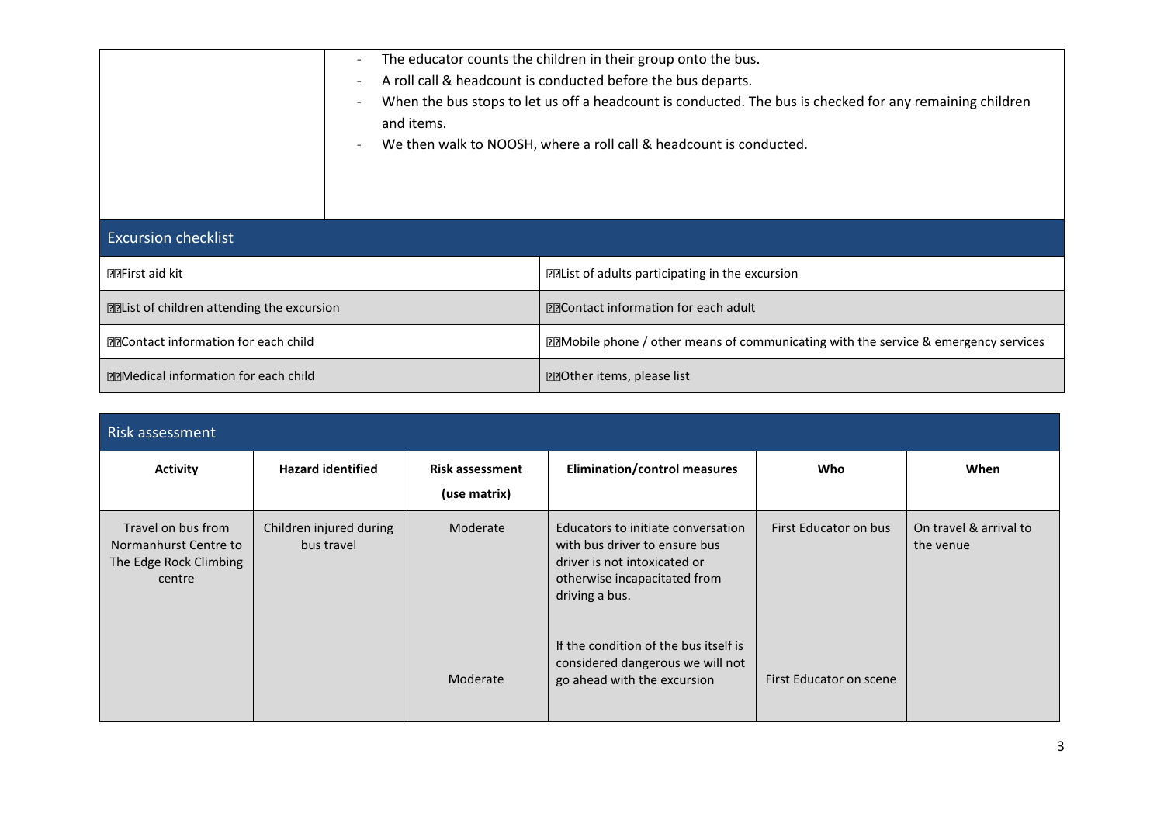| The educator counts the children in their group onto the bus.<br>۰ |                                                                                                          |  |  |
|--------------------------------------------------------------------|----------------------------------------------------------------------------------------------------------|--|--|
|                                                                    | A roll call & headcount is conducted before the bus departs.                                             |  |  |
|                                                                    | When the bus stops to let us off a headcount is conducted. The bus is checked for any remaining children |  |  |
| and items.                                                         |                                                                                                          |  |  |
| $\overline{\phantom{a}}$                                           | We then walk to NOOSH, where a roll call & headcount is conducted.                                       |  |  |
|                                                                    |                                                                                                          |  |  |
|                                                                    |                                                                                                          |  |  |
|                                                                    |                                                                                                          |  |  |
| <b>Excursion checklist</b>                                         |                                                                                                          |  |  |
| <b>PREITSt aid kit</b>                                             | <b>ELIST OF adults participating in the excursion</b>                                                    |  |  |
| <b>Example 12</b> Elist of children attending the excursion        | <b>EEContact information for each adult</b>                                                              |  |  |
| <b>EEContact information for each child</b>                        | <b>DZMobile phone / other means of communicating with the service &amp; emergency services</b>           |  |  |
| <b>EEMedical information for each child</b>                        | <b>EEOther items, please list</b>                                                                        |  |  |

| Risk assessment                                                                 |                                       |                                        |                                                                                                                                                       |                         |                                     |  |  |
|---------------------------------------------------------------------------------|---------------------------------------|----------------------------------------|-------------------------------------------------------------------------------------------------------------------------------------------------------|-------------------------|-------------------------------------|--|--|
| <b>Activity</b>                                                                 | <b>Hazard identified</b>              | <b>Risk assessment</b><br>(use matrix) | <b>Elimination/control measures</b>                                                                                                                   | Who                     | When                                |  |  |
| Travel on bus from<br>Normanhurst Centre to<br>The Edge Rock Climbing<br>centre | Children injured during<br>bus travel | Moderate                               | Educators to initiate conversation<br>with bus driver to ensure bus<br>driver is not intoxicated or<br>otherwise incapacitated from<br>driving a bus. | First Educator on bus   | On travel & arrival to<br>the venue |  |  |
|                                                                                 |                                       | Moderate                               | If the condition of the bus itself is<br>considered dangerous we will not<br>go ahead with the excursion                                              | First Educator on scene |                                     |  |  |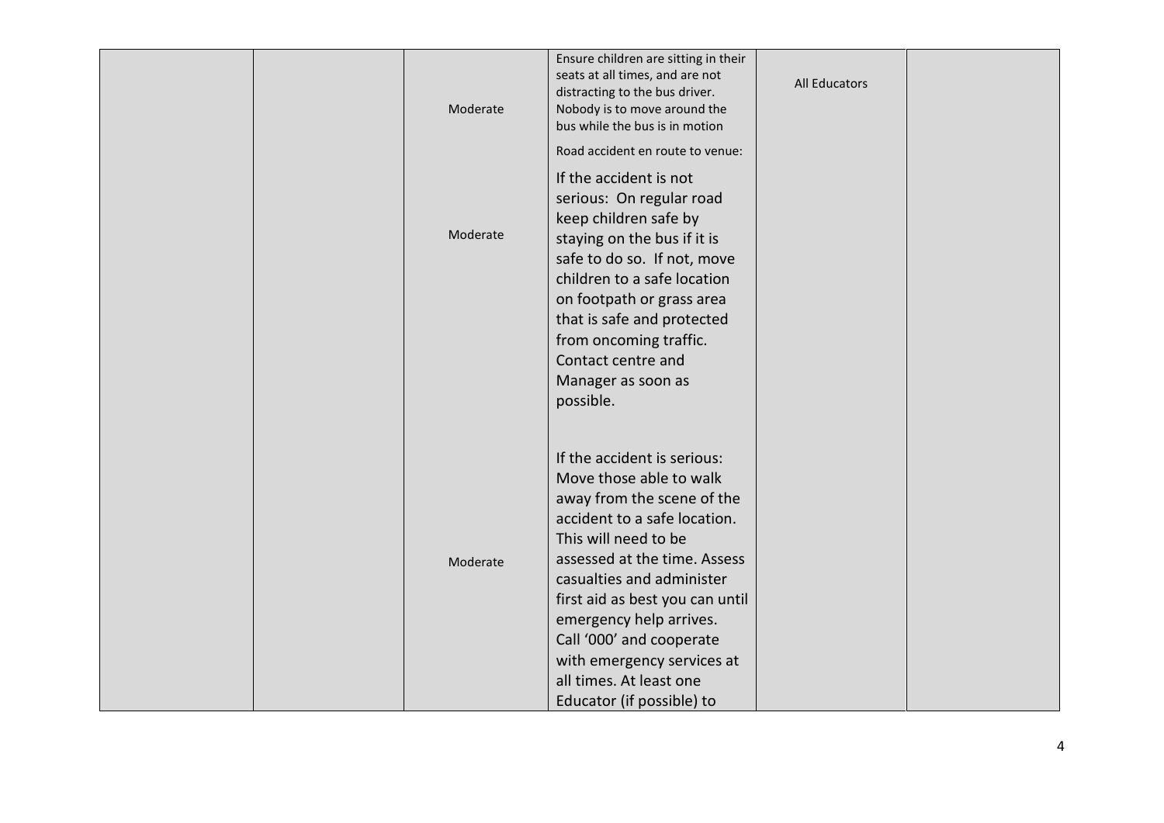|  | Moderate | Ensure children are sitting in their<br>seats at all times, and are not<br>distracting to the bus driver.<br>Nobody is to move around the<br>bus while the bus is in motion<br>Road accident en route to venue:                                                                                                                                                                           | All Educators |  |
|--|----------|-------------------------------------------------------------------------------------------------------------------------------------------------------------------------------------------------------------------------------------------------------------------------------------------------------------------------------------------------------------------------------------------|---------------|--|
|  | Moderate | If the accident is not<br>serious: On regular road<br>keep children safe by<br>staying on the bus if it is<br>safe to do so. If not, move<br>children to a safe location<br>on footpath or grass area<br>that is safe and protected<br>from oncoming traffic.<br>Contact centre and<br>Manager as soon as<br>possible.                                                                    |               |  |
|  | Moderate | If the accident is serious:<br>Move those able to walk<br>away from the scene of the<br>accident to a safe location.<br>This will need to be<br>assessed at the time. Assess<br>casualties and administer<br>first aid as best you can until<br>emergency help arrives.<br>Call '000' and cooperate<br>with emergency services at<br>all times. At least one<br>Educator (if possible) to |               |  |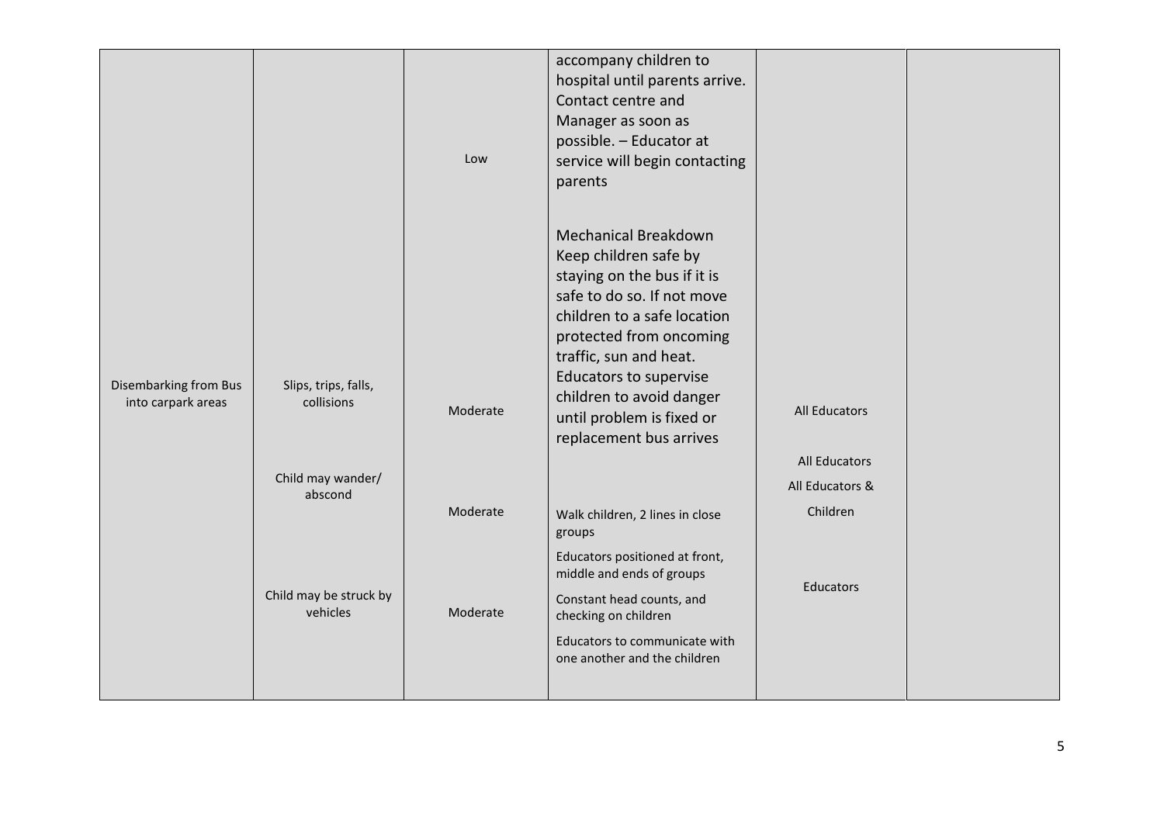|                                             |                                    | Low      | accompany children to<br>hospital until parents arrive.<br>Contact centre and<br>Manager as soon as<br>possible. - Educator at<br>service will begin contacting<br>parents                                                                                                                                                 |                                  |  |
|---------------------------------------------|------------------------------------|----------|----------------------------------------------------------------------------------------------------------------------------------------------------------------------------------------------------------------------------------------------------------------------------------------------------------------------------|----------------------------------|--|
| Disembarking from Bus<br>into carpark areas | Slips, trips, falls,<br>collisions | Moderate | <b>Mechanical Breakdown</b><br>Keep children safe by<br>staying on the bus if it is<br>safe to do so. If not move<br>children to a safe location<br>protected from oncoming<br>traffic, sun and heat.<br><b>Educators to supervise</b><br>children to avoid danger<br>until problem is fixed or<br>replacement bus arrives | <b>All Educators</b>             |  |
|                                             | Child may wander/<br>abscond       |          |                                                                                                                                                                                                                                                                                                                            | All Educators<br>All Educators & |  |
|                                             |                                    | Moderate | Walk children, 2 lines in close                                                                                                                                                                                                                                                                                            | Children                         |  |
|                                             |                                    |          | groups<br>Educators positioned at front,                                                                                                                                                                                                                                                                                   |                                  |  |
|                                             | Child may be struck by             |          | middle and ends of groups                                                                                                                                                                                                                                                                                                  | Educators                        |  |
|                                             | vehicles                           | Moderate | Constant head counts, and<br>checking on children                                                                                                                                                                                                                                                                          |                                  |  |
|                                             |                                    |          | Educators to communicate with<br>one another and the children                                                                                                                                                                                                                                                              |                                  |  |
|                                             |                                    |          |                                                                                                                                                                                                                                                                                                                            |                                  |  |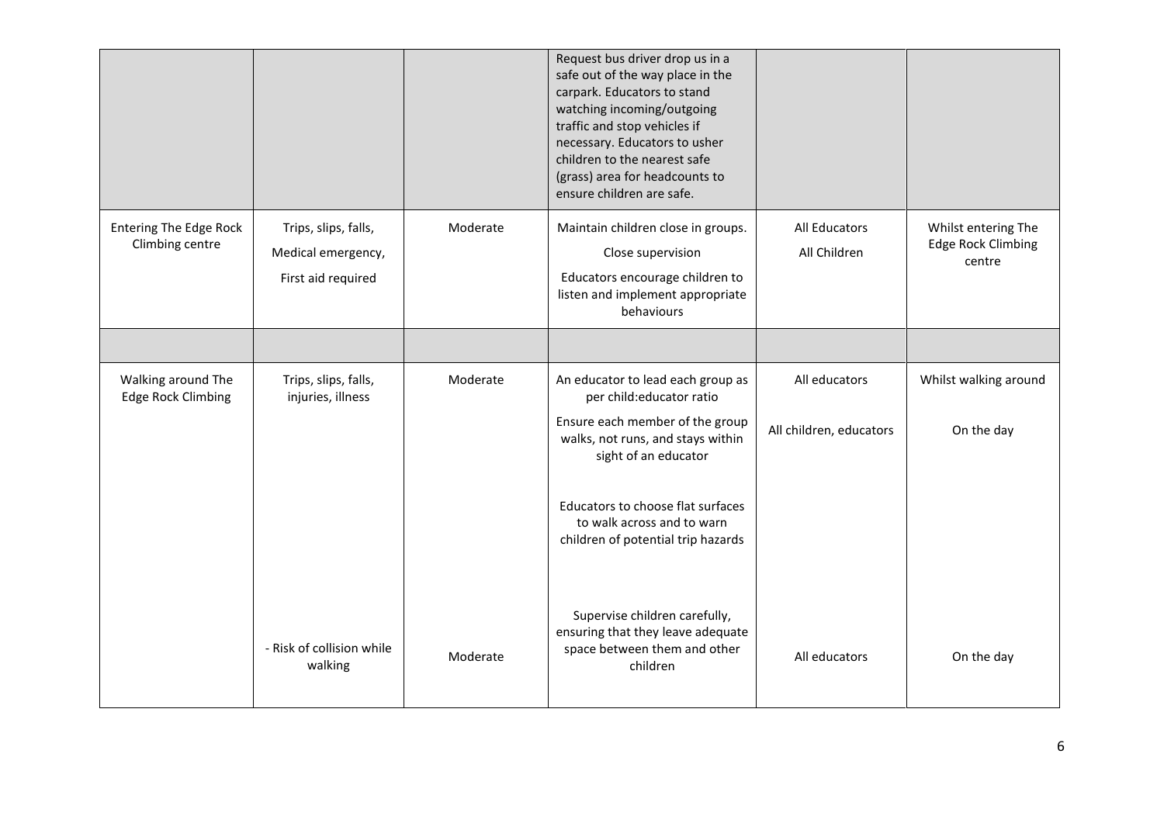|                                                  |                                                                  |          | Request bus driver drop us in a<br>safe out of the way place in the<br>carpark. Educators to stand<br>watching incoming/outgoing<br>traffic and stop vehicles if<br>necessary. Educators to usher<br>children to the nearest safe<br>(grass) area for headcounts to<br>ensure children are safe. |                                      |                                                     |
|--------------------------------------------------|------------------------------------------------------------------|----------|--------------------------------------------------------------------------------------------------------------------------------------------------------------------------------------------------------------------------------------------------------------------------------------------------|--------------------------------------|-----------------------------------------------------|
| <b>Entering The Edge Rock</b><br>Climbing centre | Trips, slips, falls,<br>Medical emergency,<br>First aid required | Moderate | Maintain children close in groups.<br>Close supervision<br>Educators encourage children to<br>listen and implement appropriate<br>behaviours                                                                                                                                                     | <b>All Educators</b><br>All Children | Whilst entering The<br>Edge Rock Climbing<br>centre |
|                                                  |                                                                  |          |                                                                                                                                                                                                                                                                                                  |                                      |                                                     |
| Walking around The<br><b>Edge Rock Climbing</b>  | Trips, slips, falls,<br>injuries, illness                        | Moderate | An educator to lead each group as<br>per child:educator ratio                                                                                                                                                                                                                                    | All educators                        | Whilst walking around                               |
|                                                  |                                                                  |          | Ensure each member of the group<br>walks, not runs, and stays within<br>sight of an educator                                                                                                                                                                                                     | All children, educators              | On the day                                          |
|                                                  |                                                                  |          | Educators to choose flat surfaces<br>to walk across and to warn<br>children of potential trip hazards                                                                                                                                                                                            |                                      |                                                     |
|                                                  | - Risk of collision while<br>walking                             | Moderate | Supervise children carefully,<br>ensuring that they leave adequate<br>space between them and other<br>children                                                                                                                                                                                   | All educators                        | On the day                                          |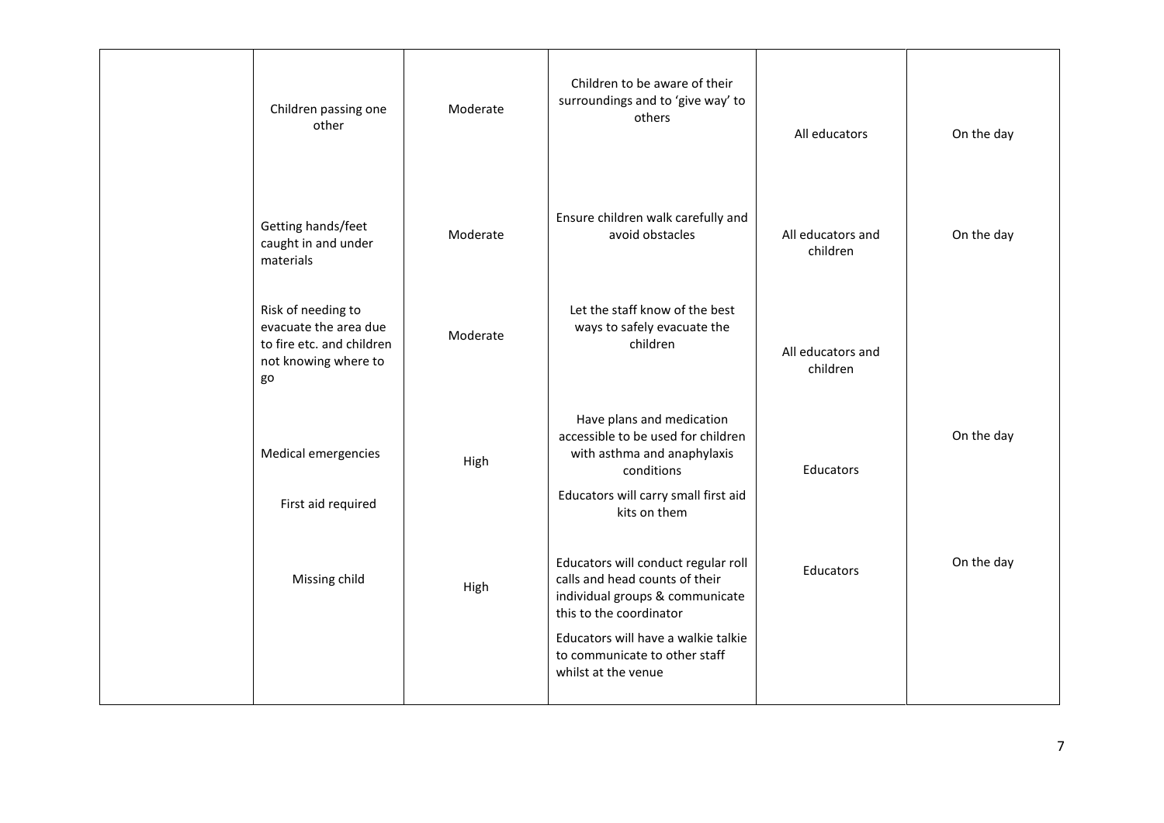| Children passing one<br>other                                                                          | Moderate | Children to be aware of their<br>surroundings and to 'give way' to<br>others                                                                                               | All educators                 | On the day |
|--------------------------------------------------------------------------------------------------------|----------|----------------------------------------------------------------------------------------------------------------------------------------------------------------------------|-------------------------------|------------|
| Getting hands/feet<br>caught in and under<br>materials                                                 | Moderate | Ensure children walk carefully and<br>avoid obstacles                                                                                                                      | All educators and<br>children | On the day |
| Risk of needing to<br>evacuate the area due<br>to fire etc. and children<br>not knowing where to<br>go | Moderate | Let the staff know of the best<br>ways to safely evacuate the<br>children                                                                                                  | All educators and<br>children |            |
| Medical emergencies<br>First aid required                                                              | High     | Have plans and medication<br>accessible to be used for children<br>with asthma and anaphylaxis<br>conditions<br>Educators will carry small first aid<br>kits on them       | Educators                     | On the day |
| Missing child                                                                                          | High     | Educators will conduct regular roll<br>calls and head counts of their<br>individual groups & communicate<br>this to the coordinator<br>Educators will have a walkie talkie | <b>Educators</b>              | On the day |
|                                                                                                        |          | to communicate to other staff<br>whilst at the venue                                                                                                                       |                               |            |
|                                                                                                        |          |                                                                                                                                                                            |                               |            |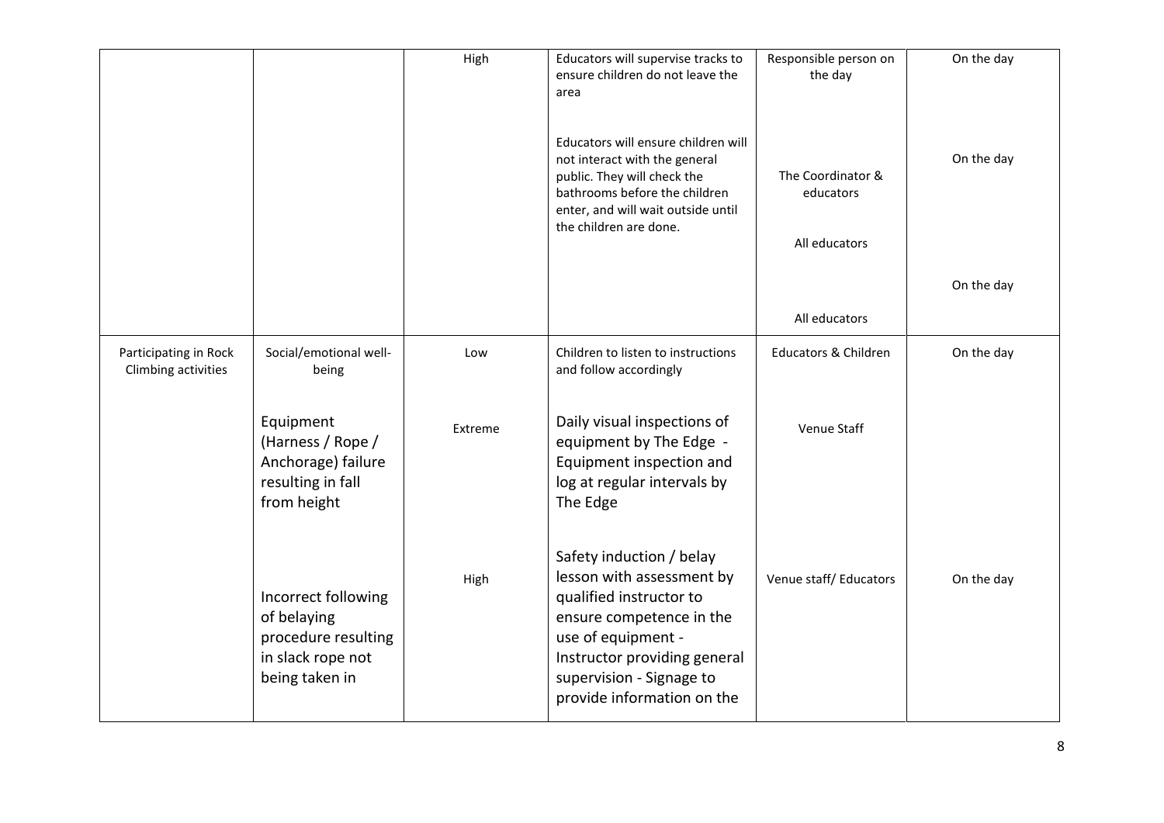|                                              |                                                                                                  | High    | Educators will supervise tracks to<br>ensure children do not leave the<br>area                                                                                                                                               | Responsible person on<br>the day | On the day |
|----------------------------------------------|--------------------------------------------------------------------------------------------------|---------|------------------------------------------------------------------------------------------------------------------------------------------------------------------------------------------------------------------------------|----------------------------------|------------|
|                                              |                                                                                                  |         | Educators will ensure children will<br>not interact with the general<br>public. They will check the<br>bathrooms before the children<br>enter, and will wait outside until<br>the children are done.                         | The Coordinator &<br>educators   | On the day |
|                                              |                                                                                                  |         |                                                                                                                                                                                                                              | All educators                    |            |
|                                              |                                                                                                  |         |                                                                                                                                                                                                                              |                                  | On the day |
|                                              |                                                                                                  |         |                                                                                                                                                                                                                              | All educators                    |            |
| Participating in Rock<br>Climbing activities | Social/emotional well-<br>being                                                                  | Low     | Children to listen to instructions<br>and follow accordingly                                                                                                                                                                 | <b>Educators &amp; Children</b>  | On the day |
|                                              | Equipment<br>(Harness / Rope /<br>Anchorage) failure<br>resulting in fall<br>from height         | Extreme | Daily visual inspections of<br>equipment by The Edge -<br>Equipment inspection and<br>log at regular intervals by<br>The Edge                                                                                                | Venue Staff                      |            |
|                                              | Incorrect following<br>of belaying<br>procedure resulting<br>in slack rope not<br>being taken in | High    | Safety induction / belay<br>lesson with assessment by<br>qualified instructor to<br>ensure competence in the<br>use of equipment -<br>Instructor providing general<br>supervision - Signage to<br>provide information on the | Venue staff/ Educators           | On the day |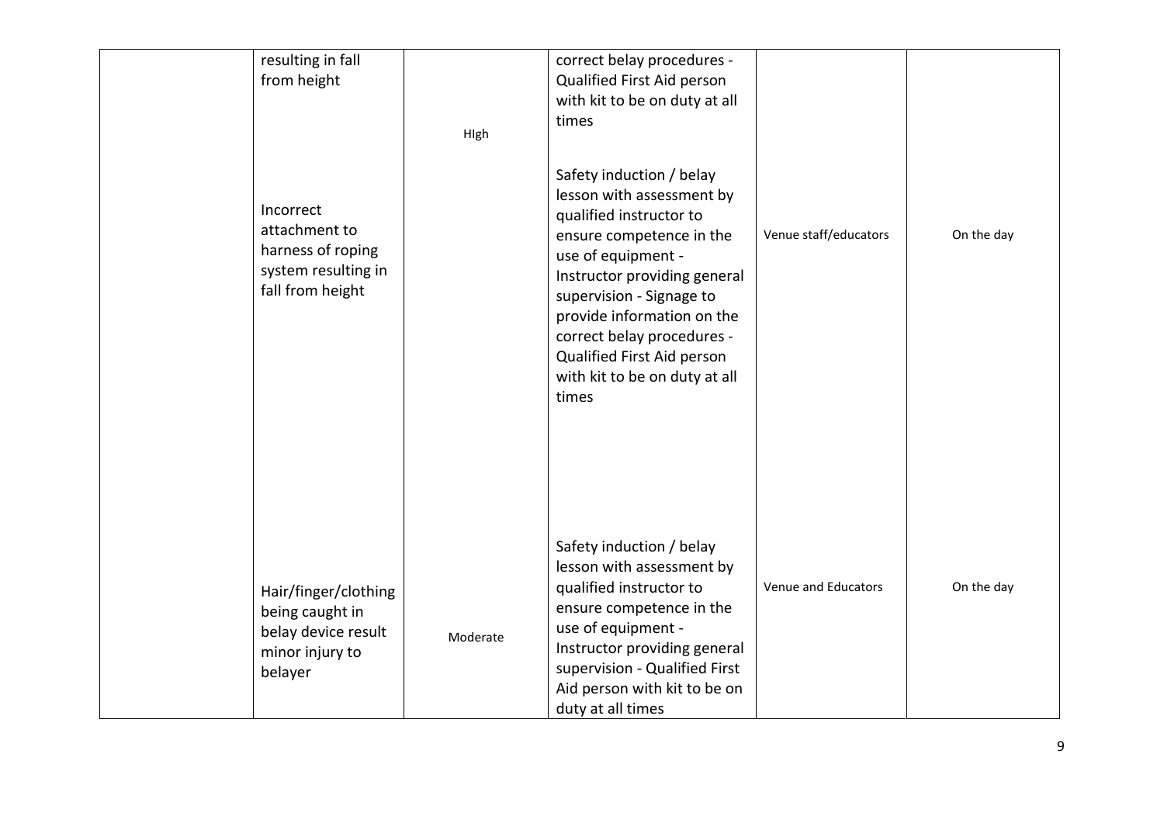| resulting in fall<br>from height<br>Incorrect<br>attachment to<br>harness of roping<br>system resulting in<br>fall from height | High     | correct belay procedures -<br>Qualified First Aid person<br>with kit to be on duty at all<br>times<br>Safety induction / belay<br>lesson with assessment by<br>qualified instructor to<br>ensure competence in the<br>use of equipment -<br>Instructor providing general<br>supervision - Signage to<br>provide information on the<br>correct belay procedures -<br>Qualified First Aid person<br>with kit to be on duty at all<br>times | Venue staff/educators | On the day |
|--------------------------------------------------------------------------------------------------------------------------------|----------|------------------------------------------------------------------------------------------------------------------------------------------------------------------------------------------------------------------------------------------------------------------------------------------------------------------------------------------------------------------------------------------------------------------------------------------|-----------------------|------------|
| Hair/finger/clothing<br>being caught in<br>belay device result<br>minor injury to<br>belayer                                   | Moderate | Safety induction / belay<br>lesson with assessment by<br>qualified instructor to<br>ensure competence in the<br>use of equipment -<br>Instructor providing general<br>supervision - Qualified First<br>Aid person with kit to be on<br>duty at all times                                                                                                                                                                                 | Venue and Educators   | On the day |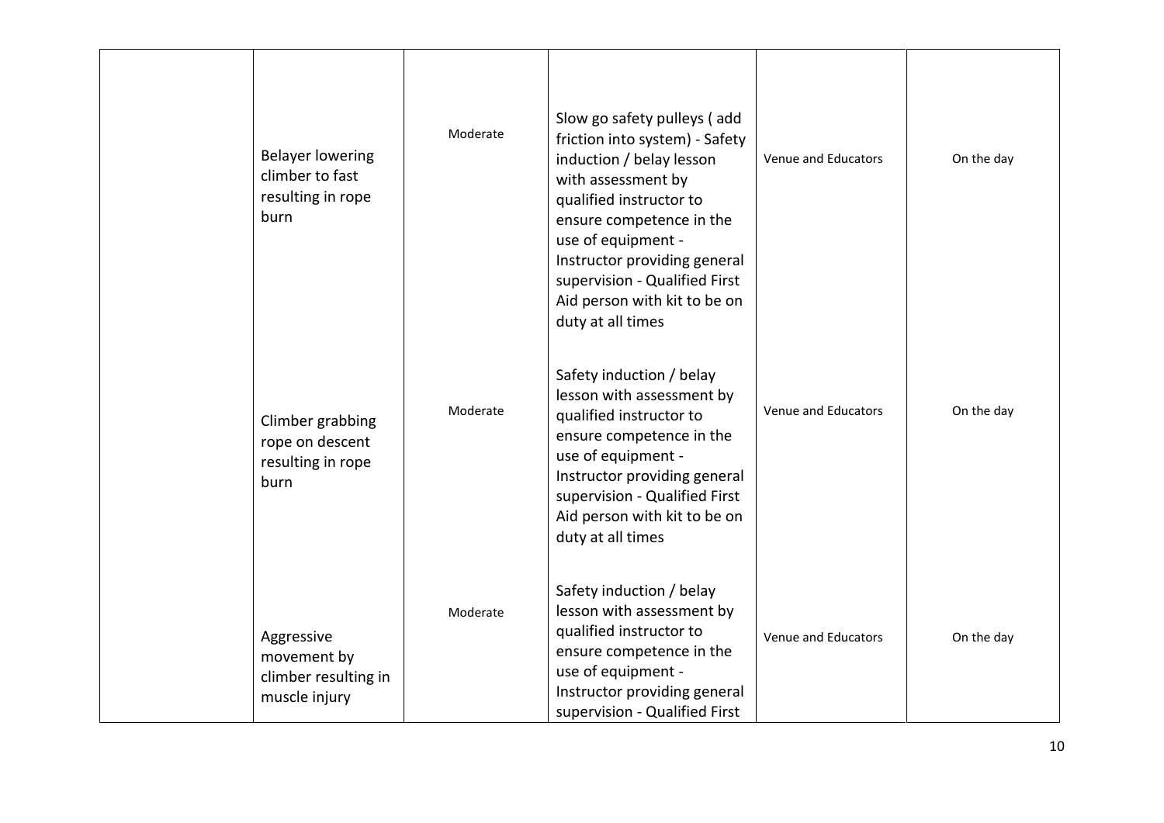| <b>Belayer lowering</b><br>climber to fast<br>resulting in rope<br>burn | Moderate | Slow go safety pulleys (add<br>friction into system) - Safety<br>induction / belay lesson<br>with assessment by<br>qualified instructor to<br>ensure competence in the<br>use of equipment -<br>Instructor providing general<br>supervision - Qualified First<br>Aid person with kit to be on<br>duty at all times | Venue and Educators | On the day |
|-------------------------------------------------------------------------|----------|--------------------------------------------------------------------------------------------------------------------------------------------------------------------------------------------------------------------------------------------------------------------------------------------------------------------|---------------------|------------|
| Climber grabbing<br>rope on descent<br>resulting in rope<br>burn        | Moderate | Safety induction / belay<br>lesson with assessment by<br>qualified instructor to<br>ensure competence in the<br>use of equipment -<br>Instructor providing general<br>supervision - Qualified First<br>Aid person with kit to be on<br>duty at all times                                                           | Venue and Educators | On the day |
| Aggressive<br>movement by<br>climber resulting in<br>muscle injury      | Moderate | Safety induction / belay<br>lesson with assessment by<br>qualified instructor to<br>ensure competence in the<br>use of equipment -<br>Instructor providing general<br>supervision - Qualified First                                                                                                                | Venue and Educators | On the day |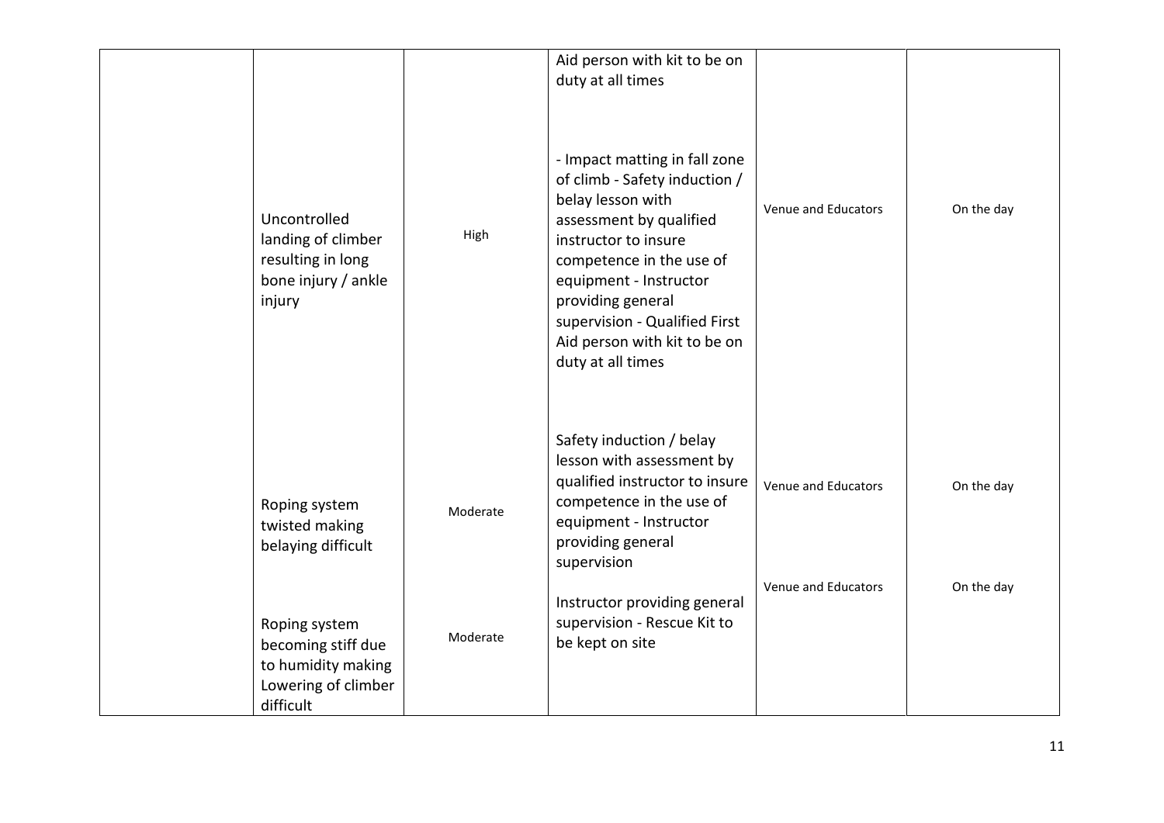| Uncontrolled<br>landing of climber<br>resulting in long<br>bone injury / ankle<br>injury      | High     | Aid person with kit to be on<br>duty at all times<br>- Impact matting in fall zone<br>of climb - Safety induction /<br>belay lesson with<br>assessment by qualified<br>instructor to insure<br>competence in the use of<br>equipment - Instructor<br>providing general<br>supervision - Qualified First<br>Aid person with kit to be on<br>duty at all times | Venue and Educators | On the day |
|-----------------------------------------------------------------------------------------------|----------|--------------------------------------------------------------------------------------------------------------------------------------------------------------------------------------------------------------------------------------------------------------------------------------------------------------------------------------------------------------|---------------------|------------|
| Roping system<br>twisted making<br>belaying difficult                                         | Moderate | Safety induction / belay<br>lesson with assessment by<br>qualified instructor to insure<br>competence in the use of<br>equipment - Instructor<br>providing general<br>supervision                                                                                                                                                                            | Venue and Educators | On the day |
| Roping system<br>becoming stiff due<br>to humidity making<br>Lowering of climber<br>difficult | Moderate | Instructor providing general<br>supervision - Rescue Kit to<br>be kept on site                                                                                                                                                                                                                                                                               | Venue and Educators | On the day |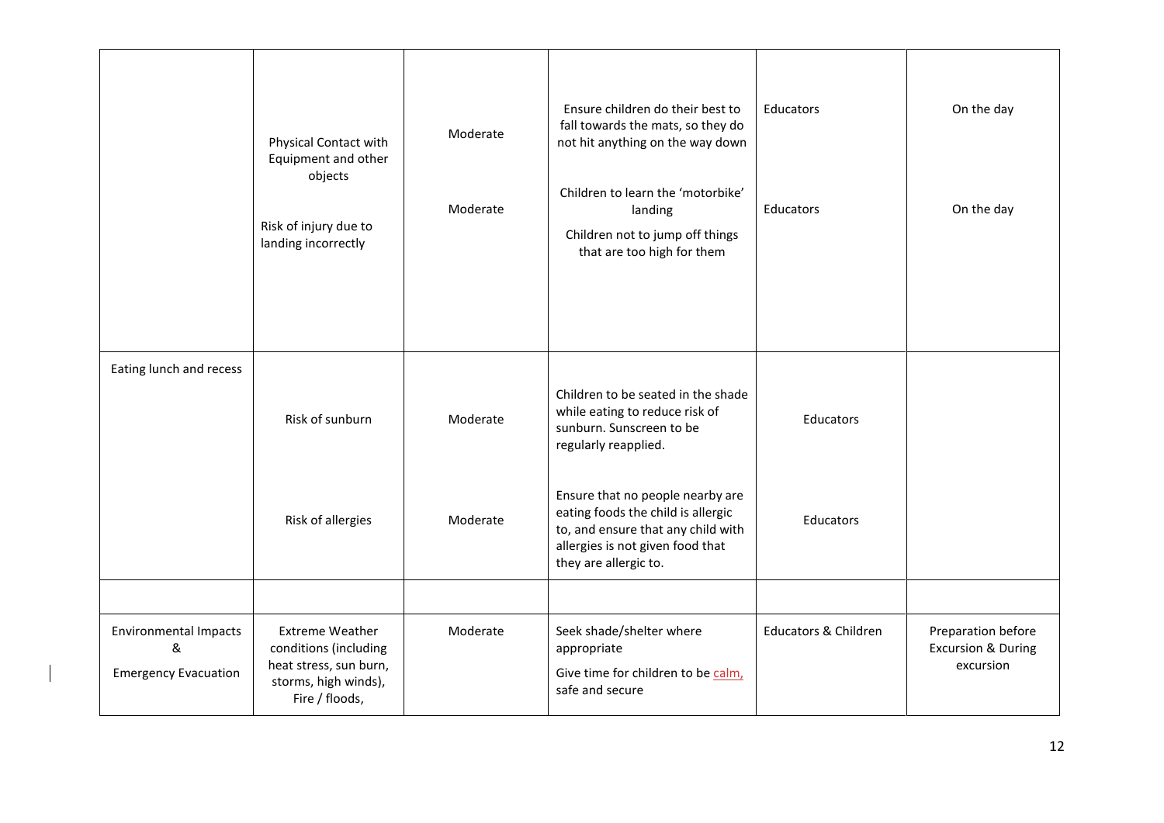|                                                                  | Physical Contact with<br>Equipment and other<br>objects<br>Risk of injury due to<br>landing incorrectly             | Moderate<br>Moderate | Ensure children do their best to<br>fall towards the mats, so they do<br>not hit anything on the way down<br>Children to learn the 'motorbike'<br>landing<br>Children not to jump off things<br>that are too high for them                                                                            | <b>Educators</b><br><b>Educators</b> | On the day<br>On the day                                         |
|------------------------------------------------------------------|---------------------------------------------------------------------------------------------------------------------|----------------------|-------------------------------------------------------------------------------------------------------------------------------------------------------------------------------------------------------------------------------------------------------------------------------------------------------|--------------------------------------|------------------------------------------------------------------|
| Eating lunch and recess                                          | Risk of sunburn<br>Risk of allergies                                                                                | Moderate<br>Moderate | Children to be seated in the shade<br>while eating to reduce risk of<br>sunburn. Sunscreen to be<br>regularly reapplied.<br>Ensure that no people nearby are<br>eating foods the child is allergic<br>to, and ensure that any child with<br>allergies is not given food that<br>they are allergic to. | Educators<br>Educators               |                                                                  |
| <b>Environmental Impacts</b><br>&<br><b>Emergency Evacuation</b> | <b>Extreme Weather</b><br>conditions (including<br>heat stress, sun burn,<br>storms, high winds),<br>Fire / floods, | Moderate             | Seek shade/shelter where<br>appropriate<br>Give time for children to be calm,<br>safe and secure                                                                                                                                                                                                      | <b>Educators &amp; Children</b>      | Preparation before<br><b>Excursion &amp; During</b><br>excursion |

 $\begin{array}{c} \hline \end{array}$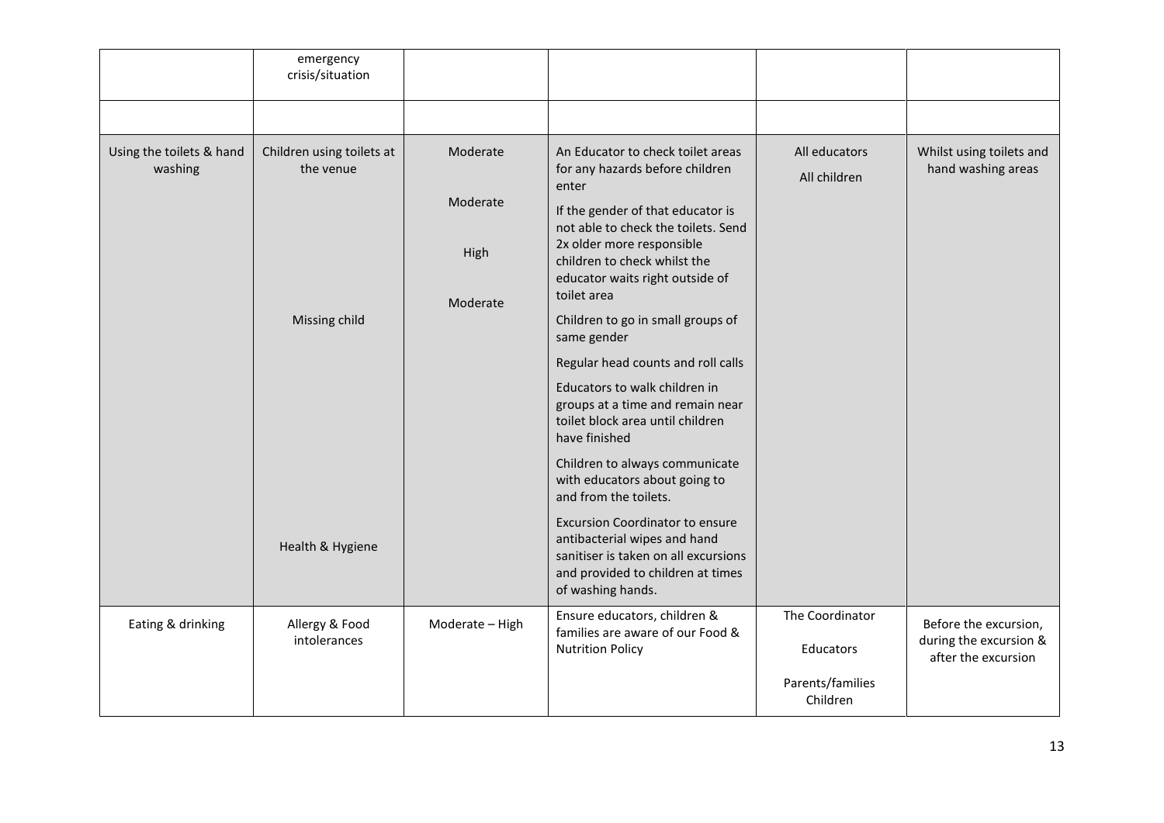|                                     | emergency<br>crisis/situation                                               |                                          |                                                                                                                                                                                                                                                                                                                                                                                                                                                                                                                                                                                                                                                                                                                                                 |                               |                                                                        |
|-------------------------------------|-----------------------------------------------------------------------------|------------------------------------------|-------------------------------------------------------------------------------------------------------------------------------------------------------------------------------------------------------------------------------------------------------------------------------------------------------------------------------------------------------------------------------------------------------------------------------------------------------------------------------------------------------------------------------------------------------------------------------------------------------------------------------------------------------------------------------------------------------------------------------------------------|-------------------------------|------------------------------------------------------------------------|
|                                     |                                                                             |                                          |                                                                                                                                                                                                                                                                                                                                                                                                                                                                                                                                                                                                                                                                                                                                                 |                               |                                                                        |
| Using the toilets & hand<br>washing | Children using toilets at<br>the venue<br>Missing child<br>Health & Hygiene | Moderate<br>Moderate<br>High<br>Moderate | An Educator to check toilet areas<br>for any hazards before children<br>enter<br>If the gender of that educator is<br>not able to check the toilets. Send<br>2x older more responsible<br>children to check whilst the<br>educator waits right outside of<br>toilet area<br>Children to go in small groups of<br>same gender<br>Regular head counts and roll calls<br>Educators to walk children in<br>groups at a time and remain near<br>toilet block area until children<br>have finished<br>Children to always communicate<br>with educators about going to<br>and from the toilets.<br><b>Excursion Coordinator to ensure</b><br>antibacterial wipes and hand<br>sanitiser is taken on all excursions<br>and provided to children at times | All educators<br>All children | Whilst using toilets and<br>hand washing areas                         |
|                                     |                                                                             |                                          | of washing hands.                                                                                                                                                                                                                                                                                                                                                                                                                                                                                                                                                                                                                                                                                                                               | The Coordinator               |                                                                        |
| Eating & drinking                   | Allergy & Food<br>intolerances                                              | Moderate - High                          | Ensure educators, children &<br>families are aware of our Food &<br><b>Nutrition Policy</b>                                                                                                                                                                                                                                                                                                                                                                                                                                                                                                                                                                                                                                                     | Educators                     | Before the excursion,<br>during the excursion &<br>after the excursion |
|                                     |                                                                             |                                          |                                                                                                                                                                                                                                                                                                                                                                                                                                                                                                                                                                                                                                                                                                                                                 | Parents/families<br>Children  |                                                                        |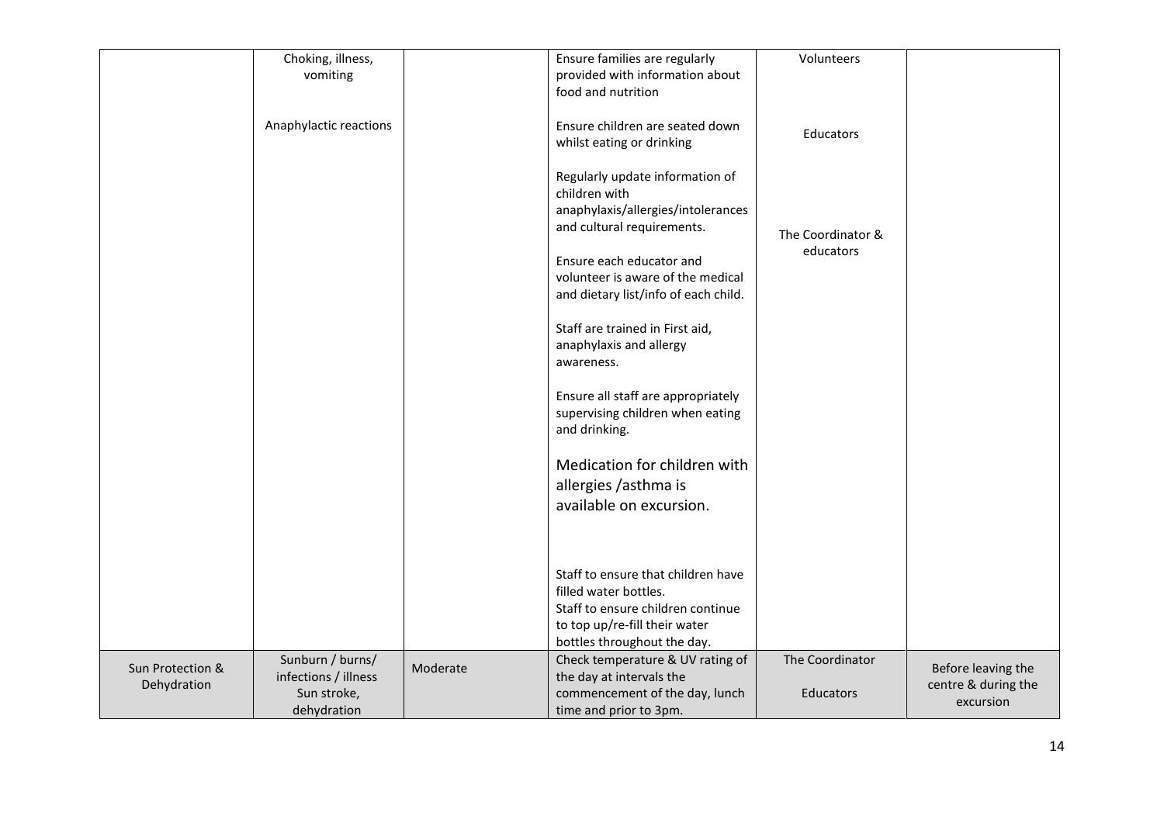| Choking, illness,<br>Ensure families are regularly<br>vomiting<br>provided with information about<br>food and nutrition                    |  |
|--------------------------------------------------------------------------------------------------------------------------------------------|--|
|                                                                                                                                            |  |
|                                                                                                                                            |  |
|                                                                                                                                            |  |
| Anaphylactic reactions<br>Ensure children are seated down<br>Educators                                                                     |  |
| whilst eating or drinking                                                                                                                  |  |
|                                                                                                                                            |  |
| Regularly update information of                                                                                                            |  |
| children with<br>anaphylaxis/allergies/intolerances                                                                                        |  |
| and cultural requirements.                                                                                                                 |  |
| The Coordinator &                                                                                                                          |  |
| educators<br>Ensure each educator and                                                                                                      |  |
| volunteer is aware of the medical                                                                                                          |  |
| and dietary list/info of each child.                                                                                                       |  |
|                                                                                                                                            |  |
| Staff are trained in First aid,                                                                                                            |  |
| anaphylaxis and allergy                                                                                                                    |  |
| awareness.                                                                                                                                 |  |
| Ensure all staff are appropriately                                                                                                         |  |
| supervising children when eating                                                                                                           |  |
| and drinking.                                                                                                                              |  |
|                                                                                                                                            |  |
| Medication for children with                                                                                                               |  |
| allergies /asthma is                                                                                                                       |  |
| available on excursion.                                                                                                                    |  |
|                                                                                                                                            |  |
|                                                                                                                                            |  |
|                                                                                                                                            |  |
| Staff to ensure that children have                                                                                                         |  |
| filled water bottles.                                                                                                                      |  |
| Staff to ensure children continue                                                                                                          |  |
| to top up/re-fill their water                                                                                                              |  |
| bottles throughout the day.<br>Sunburn / burns/<br>The Coordinator                                                                         |  |
| Check temperature & UV rating of<br>Sun Protection &<br>Moderate<br>Before leaving the<br>infections / illness<br>the day at intervals the |  |
| centre & during the<br>Dehydration<br>Sun stroke,<br>commencement of the day, lunch<br><b>Educators</b>                                    |  |
| excursion<br>dehydration<br>time and prior to 3pm.                                                                                         |  |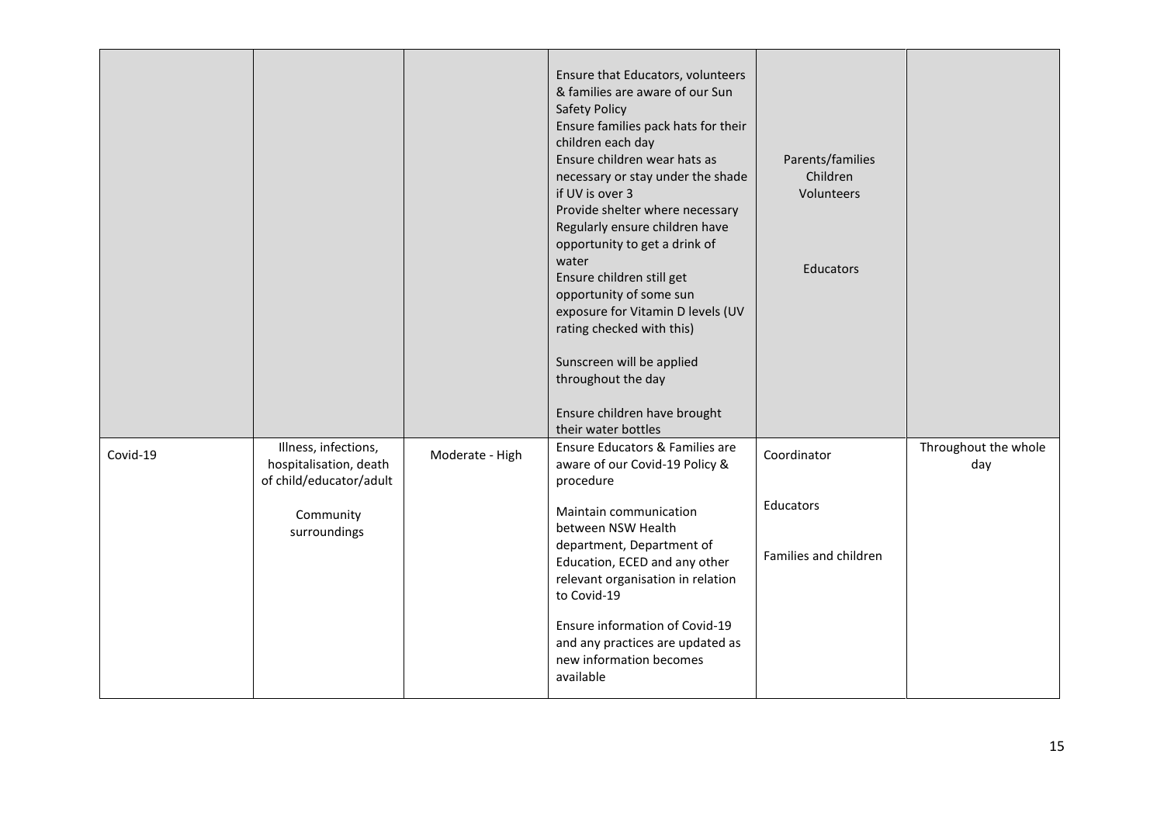|          |                                                                           |                 | Ensure that Educators, volunteers<br>& families are aware of our Sun<br><b>Safety Policy</b><br>Ensure families pack hats for their<br>children each day<br>Ensure children wear hats as<br>necessary or stay under the shade<br>if UV is over 3<br>Provide shelter where necessary<br>Regularly ensure children have<br>opportunity to get a drink of<br>water<br>Ensure children still get<br>opportunity of some sun<br>exposure for Vitamin D levels (UV<br>rating checked with this)<br>Sunscreen will be applied<br>throughout the day<br>Ensure children have brought<br>their water bottles | Parents/families<br>Children<br>Volunteers<br>Educators |                             |
|----------|---------------------------------------------------------------------------|-----------------|-----------------------------------------------------------------------------------------------------------------------------------------------------------------------------------------------------------------------------------------------------------------------------------------------------------------------------------------------------------------------------------------------------------------------------------------------------------------------------------------------------------------------------------------------------------------------------------------------------|---------------------------------------------------------|-----------------------------|
| Covid-19 | Illness, infections,<br>hospitalisation, death<br>of child/educator/adult | Moderate - High | Ensure Educators & Families are<br>aware of our Covid-19 Policy &<br>procedure                                                                                                                                                                                                                                                                                                                                                                                                                                                                                                                      | Coordinator                                             | Throughout the whole<br>day |
|          | Community<br>surroundings                                                 |                 | Maintain communication<br>between NSW Health<br>department, Department of<br>Education, ECED and any other<br>relevant organisation in relation<br>to Covid-19                                                                                                                                                                                                                                                                                                                                                                                                                                      | Educators<br>Families and children                      |                             |
|          |                                                                           |                 | Ensure information of Covid-19<br>and any practices are updated as<br>new information becomes<br>available                                                                                                                                                                                                                                                                                                                                                                                                                                                                                          |                                                         |                             |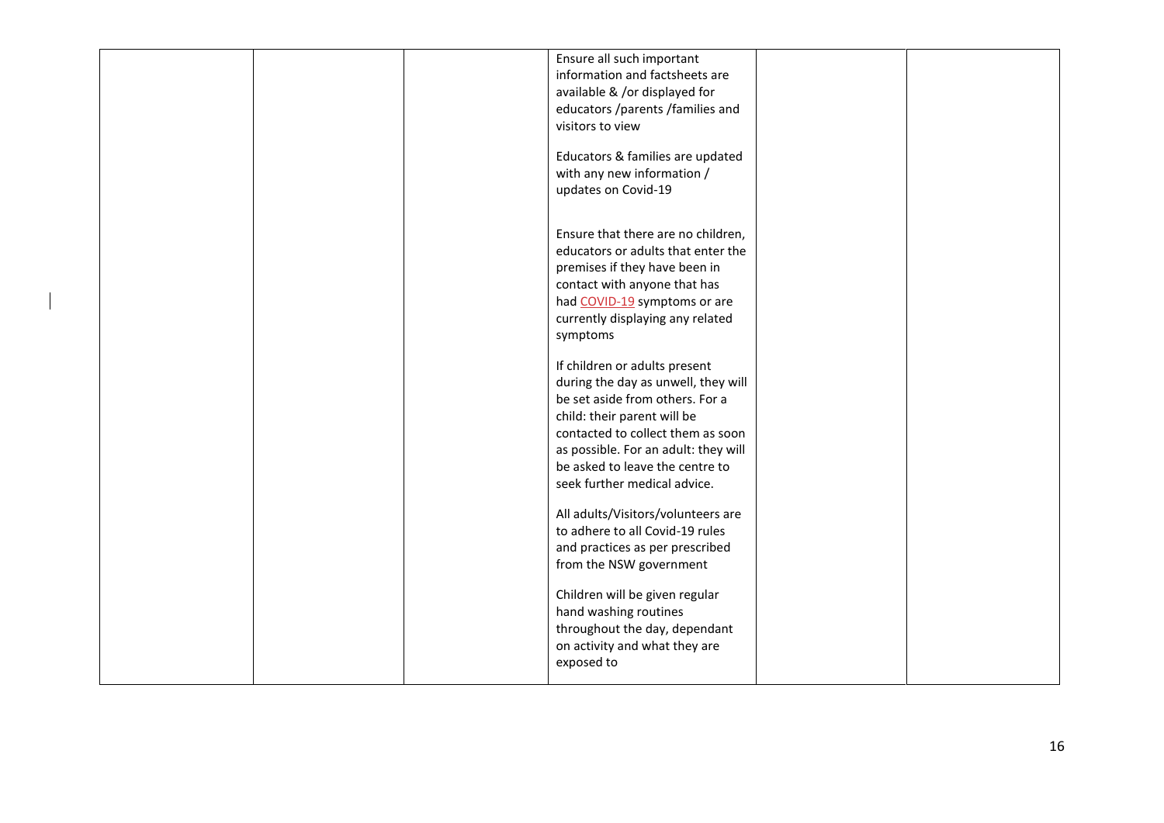|  | Ensure all such important<br>information and factsheets are<br>available & /or displayed for<br>educators /parents /families and<br>visitors to view<br>Educators & families are updated<br>with any new information /<br>updates on Covid-19                                          |  |
|--|----------------------------------------------------------------------------------------------------------------------------------------------------------------------------------------------------------------------------------------------------------------------------------------|--|
|  | Ensure that there are no children,<br>educators or adults that enter the<br>premises if they have been in<br>contact with anyone that has<br>had COVID-19 symptoms or are<br>currently displaying any related<br>symptoms                                                              |  |
|  | If children or adults present<br>during the day as unwell, they will<br>be set aside from others. For a<br>child: their parent will be<br>contacted to collect them as soon<br>as possible. For an adult: they will<br>be asked to leave the centre to<br>seek further medical advice. |  |
|  | All adults/Visitors/volunteers are<br>to adhere to all Covid-19 rules<br>and practices as per prescribed<br>from the NSW government                                                                                                                                                    |  |
|  | Children will be given regular<br>hand washing routines<br>throughout the day, dependant<br>on activity and what they are<br>exposed to                                                                                                                                                |  |

 $\overline{\phantom{a}}$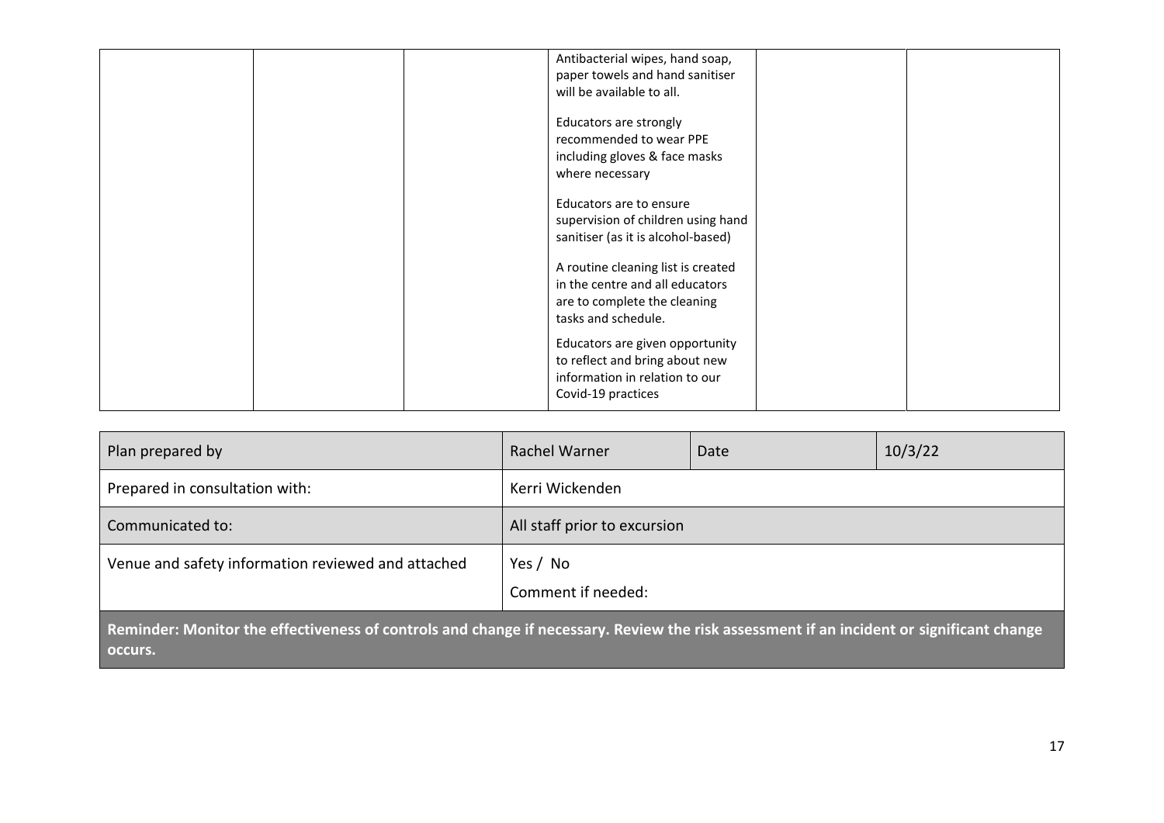|  | Antibacterial wipes, hand soap,    |  |
|--|------------------------------------|--|
|  | paper towels and hand sanitiser    |  |
|  |                                    |  |
|  | will be available to all.          |  |
|  |                                    |  |
|  | Educators are strongly             |  |
|  | recommended to wear PPE            |  |
|  |                                    |  |
|  | including gloves & face masks      |  |
|  | where necessary                    |  |
|  |                                    |  |
|  | Educators are to ensure            |  |
|  |                                    |  |
|  | supervision of children using hand |  |
|  | sanitiser (as it is alcohol-based) |  |
|  |                                    |  |
|  | A routine cleaning list is created |  |
|  | in the centre and all educators    |  |
|  |                                    |  |
|  | are to complete the cleaning       |  |
|  | tasks and schedule.                |  |
|  |                                    |  |
|  | Educators are given opportunity    |  |
|  | to reflect and bring about new     |  |
|  |                                    |  |
|  | information in relation to our     |  |
|  | Covid-19 practices                 |  |
|  |                                    |  |

| Plan prepared by                                                                                                                         | Rachel Warner                  | Date | 10/3/22 |  |  |
|------------------------------------------------------------------------------------------------------------------------------------------|--------------------------------|------|---------|--|--|
| Prepared in consultation with:                                                                                                           | Kerri Wickenden                |      |         |  |  |
| Communicated to:                                                                                                                         | All staff prior to excursion   |      |         |  |  |
| Venue and safety information reviewed and attached                                                                                       | Yes / No<br>Comment if needed: |      |         |  |  |
| Reminder: Monitor the effectiveness of controls and change if necessary. Review the risk assessment if an incident or significant change |                                |      |         |  |  |

**Reminder: Monitor the effectiveness of controls and change if necessary. Review the risk assessment if an incident or significant change occurs.**